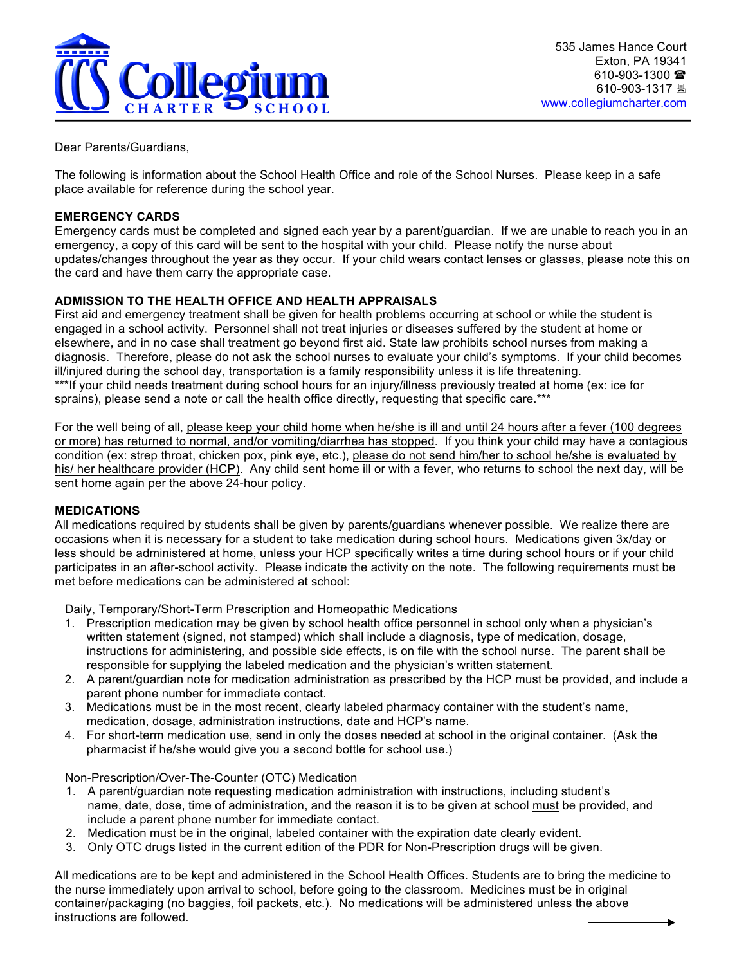

Dear Parents/Guardians,

The following is information about the School Health Office and role of the School Nurses. Please keep in a safe place available for reference during the school year.

#### **EMERGENCY CARDS**

Emergency cards must be completed and signed each year by a parent/guardian. If we are unable to reach you in an emergency, a copy of this card will be sent to the hospital with your child. Please notify the nurse about updates/changes throughout the year as they occur. If your child wears contact lenses or glasses, please note this on the card and have them carry the appropriate case.

# **ADMISSION TO THE HEALTH OFFICE AND HEALTH APPRAISALS**

First aid and emergency treatment shall be given for health problems occurring at school or while the student is engaged in a school activity. Personnel shall not treat injuries or diseases suffered by the student at home or elsewhere, and in no case shall treatment go beyond first aid. State law prohibits school nurses from making a diagnosis. Therefore, please do not ask the school nurses to evaluate your child's symptoms. If your child becomes ill/injured during the school day, transportation is a family responsibility unless it is life threatening. \*\*\*If your child needs treatment during school hours for an injury/illness previously treated at home (ex: ice for sprains), please send a note or call the health office directly, requesting that specific care.\*\*\*

For the well being of all, please keep your child home when he/she is ill and until 24 hours after a fever (100 degrees or more) has returned to normal, and/or vomiting/diarrhea has stopped. If you think your child may have a contagious condition (ex: strep throat, chicken pox, pink eye, etc.), please do not send him/her to school he/she is evaluated by his/ her healthcare provider (HCP). Any child sent home ill or with a fever, who returns to school the next day, will be sent home again per the above 24-hour policy.

#### **MEDICATIONS**

All medications required by students shall be given by parents/guardians whenever possible. We realize there are occasions when it is necessary for a student to take medication during school hours. Medications given 3x/day or less should be administered at home, unless your HCP specifically writes a time during school hours or if your child participates in an after-school activity. Please indicate the activity on the note. The following requirements must be met before medications can be administered at school:

Daily, Temporary/Short-Term Prescription and Homeopathic Medications

- 1. Prescription medication may be given by school health office personnel in school only when a physician's written statement (signed, not stamped) which shall include a diagnosis, type of medication, dosage, instructions for administering, and possible side effects, is on file with the school nurse. The parent shall be responsible for supplying the labeled medication and the physician's written statement.
- 2. A parent/guardian note for medication administration as prescribed by the HCP must be provided, and include a parent phone number for immediate contact.
- 3. Medications must be in the most recent, clearly labeled pharmacy container with the student's name, medication, dosage, administration instructions, date and HCP's name.
- 4. For short-term medication use, send in only the doses needed at school in the original container. (Ask the pharmacist if he/she would give you a second bottle for school use.)

Non-Prescription/Over-The-Counter (OTC) Medication

- 1. A parent/guardian note requesting medication administration with instructions, including student's name, date, dose, time of administration, and the reason it is to be given at school must be provided, and include a parent phone number for immediate contact.
- 2. Medication must be in the original, labeled container with the expiration date clearly evident.
- 3. Only OTC drugs listed in the current edition of the PDR for Non-Prescription drugs will be given.

All medications are to be kept and administered in the School Health Offices. Students are to bring the medicine to the nurse immediately upon arrival to school, before going to the classroom. Medicines must be in original container/packaging (no baggies, foil packets, etc.). No medications will be administered unless the above instructions are followed.